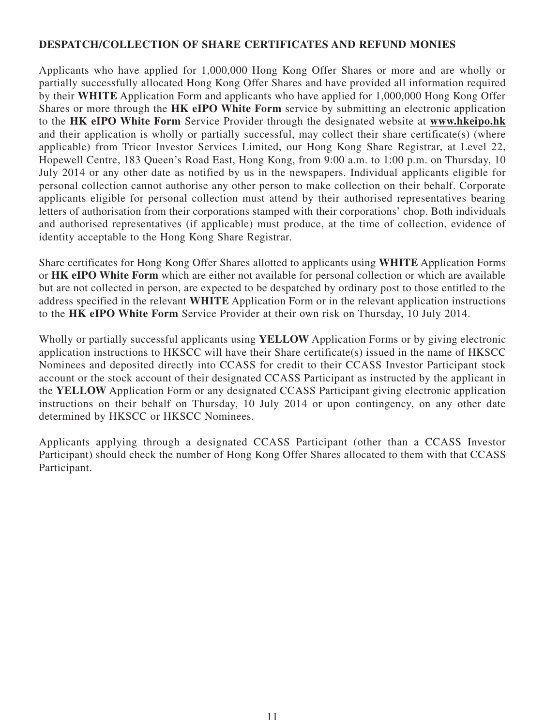## **DESPATCH/COLLECTION OF SHARE CERTIFICATES AND REFUND MONIES**

Applicants who have applied for 1,000,000 Hong Kong Offer Shares or more and are wholly or partially successfully allocated Hong Kong Offer Shares and have provided all information required by their **WHITE** Application Form and applicants who have applied for 1,000,000 Hong Kong Offer Shares or more through the **HK eIPO White Form** service by submitting an electronic application to the **HK eIPO White Form** Service Provider through the designated website at **www.hkeipo.hk** and their application is wholly or partially successful, may collect their share certificate(s) (where applicable) from Tricor Investor Services Limited, our Hong Kong Share Registrar, at Level 22, Hopewell Centre, 183 Queen's Road East, Hong Kong, from 9:00 a.m. to 1:00 p.m. on Thursday, 10 July 2014 or any other date as notified by us in the newspapers. Individual applicants eligible for personal collection cannot authorise any other person to make collection on their behalf. Corporate applicants eligible for personal collection must attend by their authorised representatives bearing letters of authorisation from their corporations stamped with their corporations' chop. Both individuals and authorised representatives (if applicable) must produce, at the time of collection, evidence of identity acceptable to the Hong Kong Share Registrar.

Share certificates for Hong Kong Offer Shares allotted to applicants using **WHITE** Application Forms or **HK eIPO White Form** which are either not available for personal collection or which are available but are not collected in person, are expected to be despatched by ordinary post to those entitled to the address specified in the relevant **WHITE** Application Form or in the relevant application instructions to the **HK eIPO White Form** Service Provider at their own risk on Thursday, 10 July 2014.

Wholly or partially successful applicants using **YELLOW** Application Forms or by giving electronic application instructions to HKSCC will have their Share certificate(s) issued in the name of HKSCC Nominees and deposited directly into CCASS for credit to their CCASS Investor Participant stock account or the stock account of their designated CCASS Participant as instructed by the applicant in the **YELLOW** Application Form or any designated CCASS Participant giving electronic application instructions on their behalf on Thursday, 10 July 2014 or upon contingency, on any other date determined by HKSCC or HKSCC Nominees.

Applicants applying through a designated CCASS Participant (other than a CCASS Investor Participant) should check the number of Hong Kong Offer Shares allocated to them with that CCASS Participant.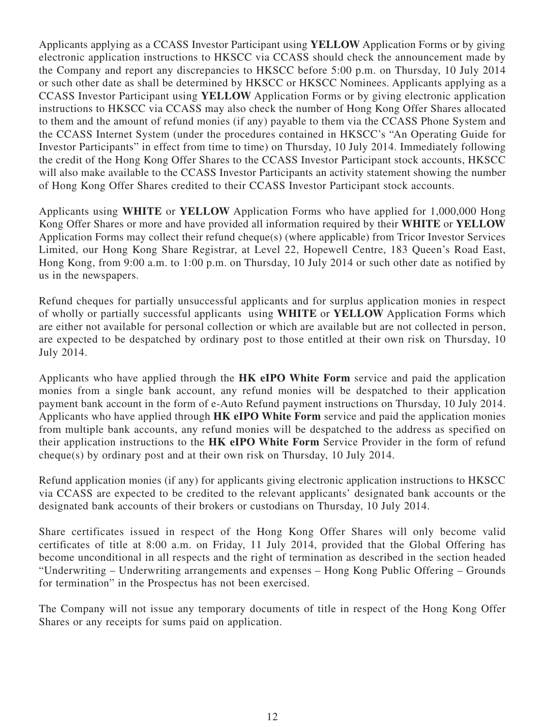Applicants applying as a CCASS Investor Participant using **YELLOW** Application Forms or by giving electronic application instructions to HKSCC via CCASS should check the announcement made by the Company and report any discrepancies to HKSCC before 5:00 p.m. on Thursday, 10 July 2014 or such other date as shall be determined by HKSCC or HKSCC Nominees. Applicants applying as a CCASS Investor Participant using **YELLOW** Application Forms or by giving electronic application instructions to HKSCC via CCASS may also check the number of Hong Kong Offer Shares allocated to them and the amount of refund monies (if any) payable to them via the CCASS Phone System and the CCASS Internet System (under the procedures contained in HKSCC's "An Operating Guide for Investor Participants" in effect from time to time) on Thursday, 10 July 2014. Immediately following the credit of the Hong Kong Offer Shares to the CCASS Investor Participant stock accounts, HKSCC will also make available to the CCASS Investor Participants an activity statement showing the number of Hong Kong Offer Shares credited to their CCASS Investor Participant stock accounts.

Applicants using **WHITE** or **YELLOW** Application Forms who have applied for 1,000,000 Hong Kong Offer Shares or more and have provided all information required by their **WHITE** or **YELLOW** Application Forms may collect their refund cheque(s) (where applicable) from Tricor Investor Services Limited, our Hong Kong Share Registrar, at Level 22, Hopewell Centre, 183 Queen's Road East, Hong Kong, from 9:00 a.m. to 1:00 p.m. on Thursday, 10 July 2014 or such other date as notified by us in the newspapers.

Refund cheques for partially unsuccessful applicants and for surplus application monies in respect of wholly or partially successful applicants using **WHITE** or **YELLOW** Application Forms which are either not available for personal collection or which are available but are not collected in person, are expected to be despatched by ordinary post to those entitled at their own risk on Thursday, 10 July 2014.

Applicants who have applied through the **HK eIPO White Form** service and paid the application monies from a single bank account, any refund monies will be despatched to their application payment bank account in the form of e-Auto Refund payment instructions on Thursday, 10 July 2014. Applicants who have applied through **HK eIPO White Form** service and paid the application monies from multiple bank accounts, any refund monies will be despatched to the address as specified on their application instructions to the **HK eIPO White Form** Service Provider in the form of refund cheque(s) by ordinary post and at their own risk on Thursday, 10 July 2014.

Refund application monies (if any) for applicants giving electronic application instructions to HKSCC via CCASS are expected to be credited to the relevant applicants' designated bank accounts or the designated bank accounts of their brokers or custodians on Thursday, 10 July 2014.

Share certificates issued in respect of the Hong Kong Offer Shares will only become valid certificates of title at 8:00 a.m. on Friday, 11 July 2014, provided that the Global Offering has become unconditional in all respects and the right of termination as described in the section headed "Underwriting – Underwriting arrangements and expenses – Hong Kong Public Offering – Grounds for termination" in the Prospectus has not been exercised.

The Company will not issue any temporary documents of title in respect of the Hong Kong Offer Shares or any receipts for sums paid on application.